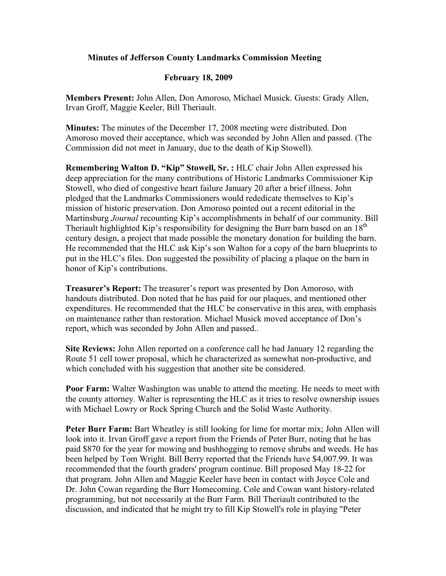## **Minutes of Jefferson County Landmarks Commission Meeting**

## **February 18, 2009**

**Members Present:** John Allen, Don Amoroso, Michael Musick. Guests: Grady Allen, Irvan Groff, Maggie Keeler, Bill Theriault.

**Minutes:** The minutes of the December 17, 2008 meeting were distributed. Don Amoroso moved their acceptance, which was seconded by John Allen and passed. (The Commission did not meet in January, due to the death of Kip Stowell).

**Remembering Walton D. "Kip" Stowell, Sr. :** HLC chair John Allen expressed his deep appreciation for the many contributions of Historic Landmarks Commissioner Kip Stowell, who died of congestive heart failure January 20 after a brief illness. John pledged that the Landmarks Commissioners would rededicate themselves to Kip's mission of historic preservation. Don Amoroso pointed out a recent editorial in the Martinsburg *Journal* recounting Kip's accomplishments in behalf of our community. Bill Theriault highlighted Kip's responsibility for designing the Burr barn based on an  $18<sup>th</sup>$ century design, a project that made possible the monetary donation for building the barn. He recommended that the HLC ask Kip's son Walton for a copy of the barn blueprints to put in the HLC's files. Don suggested the possibility of placing a plaque on the barn in honor of Kip's contributions.

**Treasurer's Report:** The treasurer's report was presented by Don Amoroso, with handouts distributed. Don noted that he has paid for our plaques, and mentioned other expenditures. He recommended that the HLC be conservative in this area, with emphasis on maintenance rather than restoration. Michael Musick moved acceptance of Don's report, which was seconded by John Allen and passed..

**Site Reviews:** John Allen reported on a conference call he had January 12 regarding the Route 51 cell tower proposal, which he characterized as somewhat non-productive, and which concluded with his suggestion that another site be considered.

**Poor Farm:** Walter Washington was unable to attend the meeting. He needs to meet with the county attorney. Walter is representing the HLC as it tries to resolve ownership issues with Michael Lowry or Rock Spring Church and the Solid Waste Authority.

**Peter Burr Farm:** Bart Wheatley is still looking for lime for mortar mix; John Allen will look into it. Irvan Groff gave a report from the Friends of Peter Burr, noting that he has paid \$870 for the year for mowing and bushhogging to remove shrubs and weeds. He has been helped by Tom Wright. Bill Berry reported that the Friends have \$4,007.99. It was recommended that the fourth graders' program continue. Bill proposed May 18-22 for that program. John Allen and Maggie Keeler have been in contact with Joyce Cole and Dr. John Cowan regarding the Burr Homecoming. Cole and Cowan want history-related programming, but not necessarily at the Burr Farm. Bill Theriault contributed to the discussion, and indicated that he might try to fill Kip Stowell's role in playing "Peter